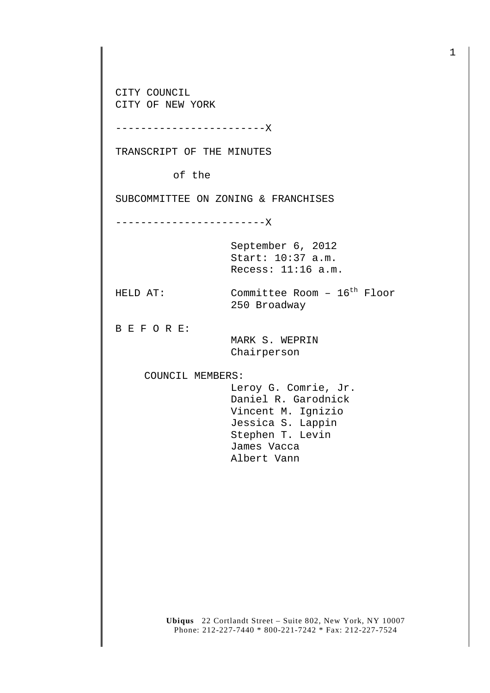CITY COUNCIL CITY OF NEW YORK

------------------------X

TRANSCRIPT OF THE MINUTES

of the

SUBCOMMITTEE ON ZONING & FRANCHISES

------------------------X

September 6, 2012 Start: 10:37 a.m. Recess: 11:16 a.m.

HELD AT: Committee Room - 16<sup>th</sup> Floor

250 Broadway

B E F O R E:

 MARK S. WEPRIN Chairperson

COUNCIL MEMBERS:

 Leroy G. Comrie, Jr. Daniel R. Garodnick Vincent M. Ignizio Jessica S. Lappin Stephen T. Levin James Vacca Albert Vann

**Ubiqus** 22 Cortlandt Street – Suite 802, New York, NY 10007 Phone: 212-227-7440 \* 800-221-7242 \* Fax: 212-227-7524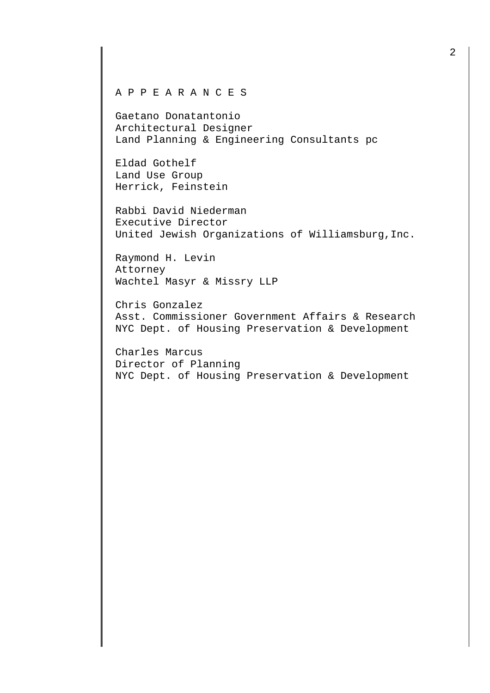## A P P E A R A N C E S

Gaetano Donatantonio Architectural Designer Land Planning & Engineering Consultants pc

Eldad Gothelf Land Use Group Herrick, Feinstein

Rabbi David Niederman Executive Director United Jewish Organizations of Williamsburg,Inc.

Raymond H. Levin Attorney Wachtel Masyr & Missry LLP

Chris Gonzalez Asst. Commissioner Government Affairs & Research NYC Dept. of Housing Preservation & Development

Charles Marcus Director of Planning NYC Dept. of Housing Preservation & Development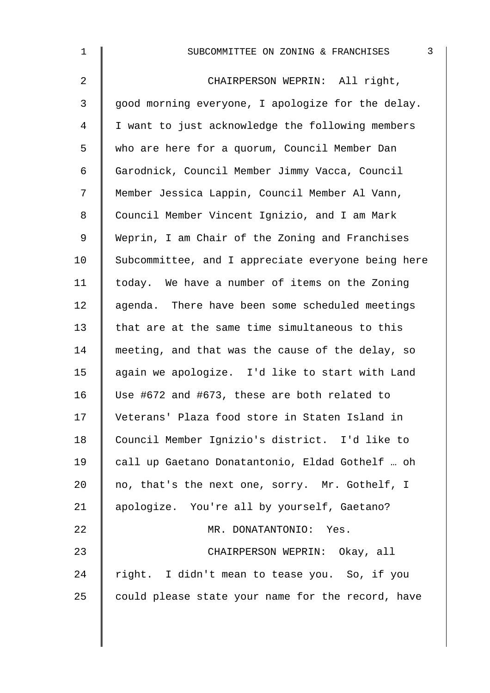| $\mathbf 1$    | 3<br>SUBCOMMITTEE ON ZONING & FRANCHISES           |
|----------------|----------------------------------------------------|
| $\overline{a}$ | CHAIRPERSON WEPRIN: All right,                     |
| $\mathfrak{Z}$ | good morning everyone, I apologize for the delay.  |
| 4              | I want to just acknowledge the following members   |
| 5              | who are here for a quorum, Council Member Dan      |
| 6              | Garodnick, Council Member Jimmy Vacca, Council     |
| 7              | Member Jessica Lappin, Council Member Al Vann,     |
| 8              | Council Member Vincent Ignizio, and I am Mark      |
| 9              | Weprin, I am Chair of the Zoning and Franchises    |
| 10             | Subcommittee, and I appreciate everyone being here |
| 11             | today. We have a number of items on the Zoning     |
| 12             | agenda. There have been some scheduled meetings    |
| 13             | that are at the same time simultaneous to this     |
| 14             | meeting, and that was the cause of the delay, so   |
| 15             | again we apologize. I'd like to start with Land    |
| 16             | Use #672 and #673, these are both related to       |
| 17             | Veterans' Plaza food store in Staten Island in     |
| 18             | Council Member Ignizio's district. I'd like to     |
| 19             | call up Gaetano Donatantonio, Eldad Gothelf  oh    |
| 20             | no, that's the next one, sorry. Mr. Gothelf, I     |
| 21             | apologize. You're all by yourself, Gaetano?        |
| 22             | MR. DONATANTONIO: Yes.                             |
| 23             | CHAIRPERSON WEPRIN: Okay, all                      |
| 24             | right. I didn't mean to tease you. So, if you      |
| 25             | could please state your name for the record, have  |
|                |                                                    |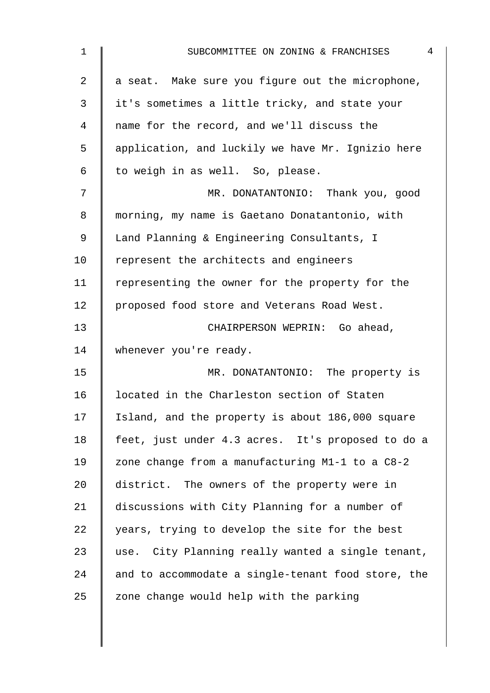| 1              | $\overline{4}$<br>SUBCOMMITTEE ON ZONING & FRANCHISES |
|----------------|-------------------------------------------------------|
| $\overline{2}$ | a seat. Make sure you figure out the microphone,      |
| 3              | it's sometimes a little tricky, and state your        |
| 4              | name for the record, and we'll discuss the            |
| 5              | application, and luckily we have Mr. Ignizio here     |
| 6              | to weigh in as well. So, please.                      |
| 7              | MR. DONATANTONIO: Thank you, good                     |
| 8              | morning, my name is Gaetano Donatantonio, with        |
| 9              | Land Planning & Engineering Consultants, I            |
| 10             | represent the architects and engineers                |
| 11             | representing the owner for the property for the       |
| 12             | proposed food store and Veterans Road West.           |
| 13             | CHAIRPERSON WEPRIN: Go ahead,                         |
| 14             | whenever you're ready.                                |
| 15             | MR. DONATANTONIO: The property is                     |
| 16             | located in the Charleston section of Staten           |
| 17             | Island, and the property is about 186,000 square      |
| 18             | feet, just under 4.3 acres. It's proposed to do a     |
| 19             | zone change from a manufacturing M1-1 to a C8-2       |
| 20             | district. The owners of the property were in          |
| 21             | discussions with City Planning for a number of        |
| 22             | years, trying to develop the site for the best        |
| 23             | use. City Planning really wanted a single tenant,     |
| 24             | and to accommodate a single-tenant food store, the    |
| 25             | zone change would help with the parking               |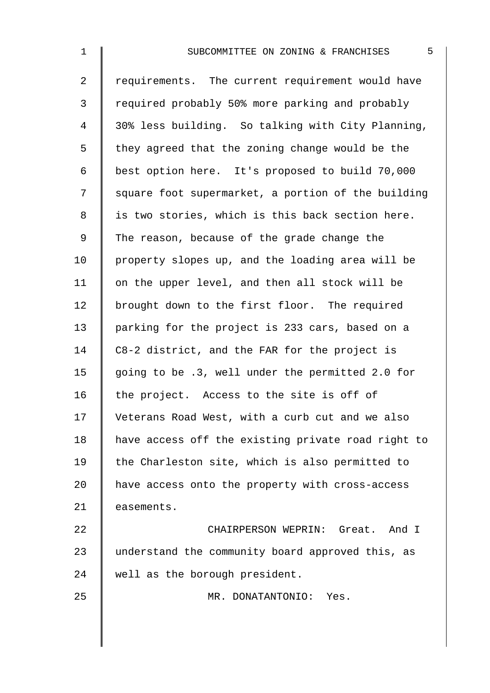| $\mathbf 1$    | 5<br>SUBCOMMITTEE ON ZONING & FRANCHISES           |
|----------------|----------------------------------------------------|
| $\overline{a}$ | requirements. The current requirement would have   |
| 3              | required probably 50% more parking and probably    |
| 4              | 30% less building. So talking with City Planning,  |
| 5              | they agreed that the zoning change would be the    |
| 6              | best option here. It's proposed to build 70,000    |
| 7              | square foot supermarket, a portion of the building |
| 8              | is two stories, which is this back section here.   |
| 9              | The reason, because of the grade change the        |
| 10             | property slopes up, and the loading area will be   |
| 11             | on the upper level, and then all stock will be     |
| 12             | brought down to the first floor. The required      |
| 13             | parking for the project is 233 cars, based on a    |
| 14             | C8-2 district, and the FAR for the project is      |
| 15             | going to be .3, well under the permitted 2.0 for   |
| 16             | the project. Access to the site is off of          |
| 17             | Veterans Road West, with a curb cut and we also    |
| 18             | have access off the existing private road right to |
| 19             | the Charleston site, which is also permitted to    |
| 20             | have access onto the property with cross-access    |
| 21             | easements.                                         |
| 22             | CHAIRPERSON WEPRIN: Great. And I                   |
| 23             | understand the community board approved this, as   |
| 24             | well as the borough president.                     |
| 25             | MR. DONATANTONIO: Yes.                             |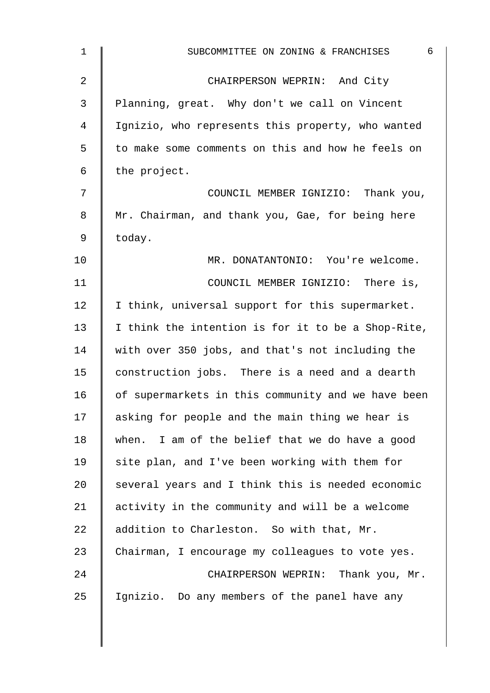| 1              | 6<br>SUBCOMMITTEE ON ZONING & FRANCHISES           |
|----------------|----------------------------------------------------|
| $\overline{2}$ | CHAIRPERSON WEPRIN: And City                       |
| 3              | Planning, great. Why don't we call on Vincent      |
| 4              | Ignizio, who represents this property, who wanted  |
| 5              | to make some comments on this and how he feels on  |
| 6              | the project.                                       |
| 7              | COUNCIL MEMBER IGNIZIO: Thank you,                 |
| 8              | Mr. Chairman, and thank you, Gae, for being here   |
| 9              | today.                                             |
| 10             | MR. DONATANTONIO: You're welcome.                  |
| 11             | COUNCIL MEMBER IGNIZIO: There is,                  |
| 12             | I think, universal support for this supermarket.   |
| 13             | I think the intention is for it to be a Shop-Rite, |
| 14             | with over 350 jobs, and that's not including the   |
| 15             | construction jobs. There is a need and a dearth    |
| 16             | of supermarkets in this community and we have been |
| 17             | asking for people and the main thing we hear is    |
| 18             | when. I am of the belief that we do have a good    |
| 19             | site plan, and I've been working with them for     |
| 20             | several years and I think this is needed economic  |
| 21             | activity in the community and will be a welcome    |
| 22             | addition to Charleston. So with that, Mr.          |
| 23             | Chairman, I encourage my colleagues to vote yes.   |
| 24             | CHAIRPERSON WEPRIN: Thank you, Mr.                 |
| 25             | Ignizio. Do any members of the panel have any      |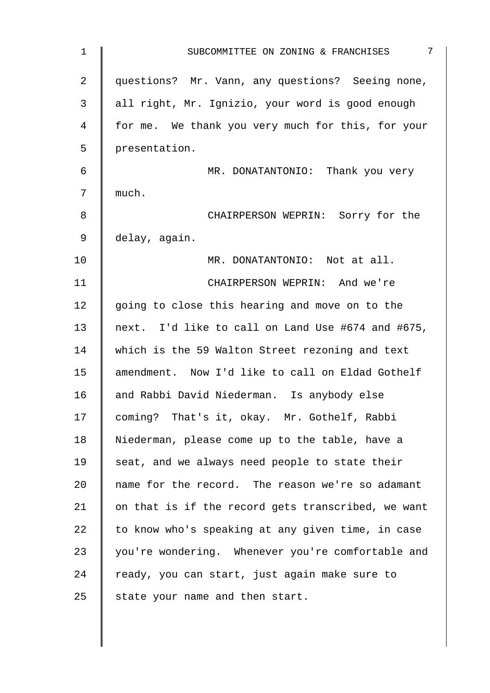| 1              | $7\phantom{.0}$<br>SUBCOMMITTEE ON ZONING & FRANCHISES |
|----------------|--------------------------------------------------------|
| $\overline{2}$ | questions? Mr. Vann, any questions? Seeing none,       |
| 3              | all right, Mr. Ignizio, your word is good enough       |
| 4              | for me. We thank you very much for this, for your      |
| 5              | presentation.                                          |
| 6              | MR. DONATANTONIO: Thank you very                       |
| 7              | much.                                                  |
| 8              | CHAIRPERSON WEPRIN: Sorry for the                      |
| 9              | delay, again.                                          |
| 10             | MR. DONATANTONIO: Not at all.                          |
| 11             | CHAIRPERSON WEPRIN: And we're                          |
| 12             | going to close this hearing and move on to the         |
| 13             | next. I'd like to call on Land Use #674 and #675,      |
| 14             | which is the 59 Walton Street rezoning and text        |
| 15             | amendment. Now I'd like to call on Eldad Gothelf       |
| 16             | and Rabbi David Niederman. Is anybody else             |
| 17             | coming? That's it, okay. Mr. Gothelf, Rabbi            |
| 18             | Niederman, please come up to the table, have a         |
| 19             | seat, and we always need people to state their         |
| 20             | name for the record. The reason we're so adamant       |
| 21             | on that is if the record gets transcribed, we want     |
| 22             | to know who's speaking at any given time, in case      |
| 23             | you're wondering. Whenever you're comfortable and      |
| 24             | ready, you can start, just again make sure to          |
| 25             | state your name and then start.                        |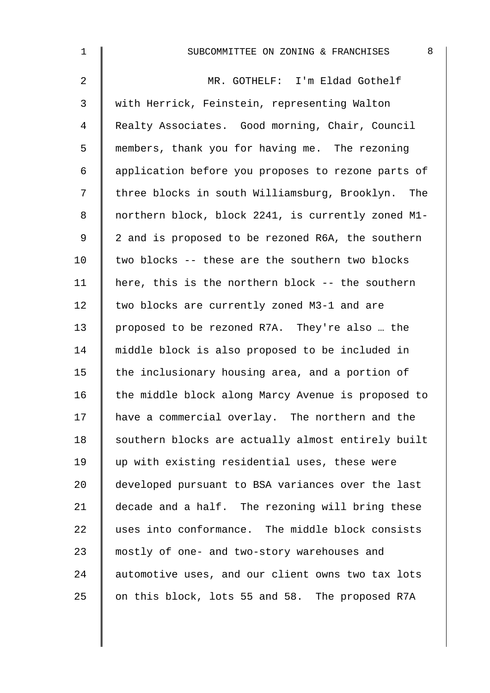| $\mathbf 1$    | 8<br>SUBCOMMITTEE ON ZONING & FRANCHISES           |
|----------------|----------------------------------------------------|
| $\overline{a}$ | MR. GOTHELF: I'm Eldad Gothelf                     |
| 3              | with Herrick, Feinstein, representing Walton       |
| 4              | Realty Associates. Good morning, Chair, Council    |
| 5              | members, thank you for having me. The rezoning     |
| 6              | application before you proposes to rezone parts of |
| 7              | three blocks in south Williamsburg, Brooklyn. The  |
| 8              | northern block, block 2241, is currently zoned M1- |
| 9              | 2 and is proposed to be rezoned R6A, the southern  |
| 10             | two blocks -- these are the southern two blocks    |
| 11             | here, this is the northern block -- the southern   |
| 12             | two blocks are currently zoned M3-1 and are        |
| 13             | proposed to be rezoned R7A. They're also  the      |
| 14             | middle block is also proposed to be included in    |
| 15             | the inclusionary housing area, and a portion of    |
| 16             | the middle block along Marcy Avenue is proposed to |
| 17             | have a commercial overlay. The northern and the    |
| 18             | southern blocks are actually almost entirely built |
| 19             | up with existing residential uses, these were      |
| 20             | developed pursuant to BSA variances over the last  |
| 21             | decade and a half. The rezoning will bring these   |
| 22             | uses into conformance. The middle block consists   |
| 23             | mostly of one- and two-story warehouses and        |
| 24             | automotive uses, and our client owns two tax lots  |
| 25             | on this block, lots 55 and 58. The proposed R7A    |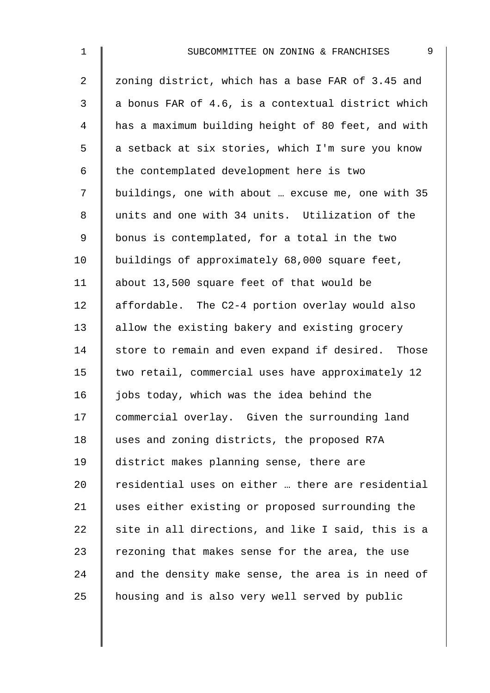| $\mathbf 1$    | $\mathsf 9$<br>SUBCOMMITTEE ON ZONING & FRANCHISES |
|----------------|----------------------------------------------------|
| $\overline{a}$ | zoning district, which has a base FAR of 3.45 and  |
| 3              | a bonus FAR of 4.6, is a contextual district which |
| 4              | has a maximum building height of 80 feet, and with |
| 5              | a setback at six stories, which I'm sure you know  |
| 6              | the contemplated development here is two           |
| 7              | buildings, one with about  excuse me, one with 35  |
| 8              | units and one with 34 units. Utilization of the    |
| 9              | bonus is contemplated, for a total in the two      |
| 10             | buildings of approximately 68,000 square feet,     |
| 11             | about 13,500 square feet of that would be          |
| 12             | affordable. The C2-4 portion overlay would also    |
| 13             | allow the existing bakery and existing grocery     |
| 14             | store to remain and even expand if desired. Those  |
| 15             | two retail, commercial uses have approximately 12  |
| 16             | jobs today, which was the idea behind the          |
| 17             | commercial overlay. Given the surrounding land     |
| 18             | uses and zoning districts, the proposed R7A        |
| 19             | district makes planning sense, there are           |
| 20             | residential uses on either  there are residential  |
| 21             | uses either existing or proposed surrounding the   |
| 22             | site in all directions, and like I said, this is a |
| 23             | rezoning that makes sense for the area, the use    |
| 24             | and the density make sense, the area is in need of |
| 25             | housing and is also very well served by public     |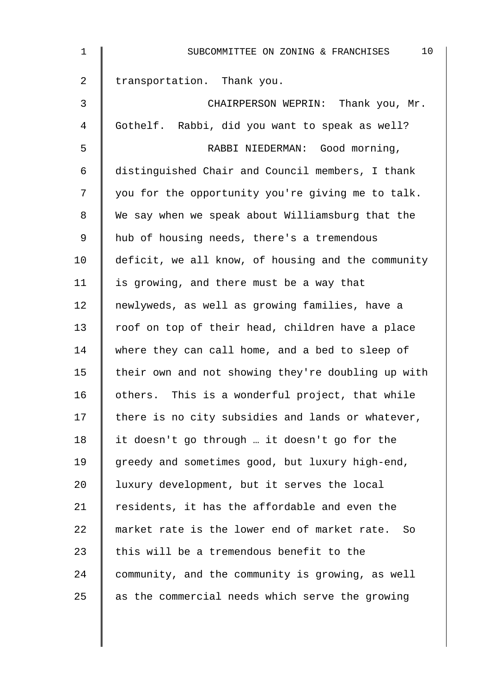| 1              | 10<br>SUBCOMMITTEE ON ZONING & FRANCHISES          |
|----------------|----------------------------------------------------|
| $\overline{a}$ | transportation. Thank you.                         |
| $\mathbf{3}$   | CHAIRPERSON WEPRIN: Thank you, Mr.                 |
| 4              | Gothelf. Rabbi, did you want to speak as well?     |
| 5              | RABBI NIEDERMAN: Good morning,                     |
| 6              | distinguished Chair and Council members, I thank   |
| 7              | you for the opportunity you're giving me to talk.  |
| 8              | We say when we speak about Williamsburg that the   |
| 9              | hub of housing needs, there's a tremendous         |
| 10             | deficit, we all know, of housing and the community |
| 11             | is growing, and there must be a way that           |
| 12             | newlyweds, as well as growing families, have a     |
| 13             | roof on top of their head, children have a place   |
| 14             | where they can call home, and a bed to sleep of    |
| 15             | their own and not showing they're doubling up with |
| 16             | others. This is a wonderful project, that while    |
| 17             | there is no city subsidies and lands or whatever,  |
| 18             | it doesn't go through  it doesn't go for the       |
| 19             | greedy and sometimes good, but luxury high-end,    |
| 20             | luxury development, but it serves the local        |
| 21             | residents, it has the affordable and even the      |
| 22             | market rate is the lower end of market rate. So    |
| 23             | this will be a tremendous benefit to the           |
| 24             | community, and the community is growing, as well   |
| 25             | as the commercial needs which serve the growing    |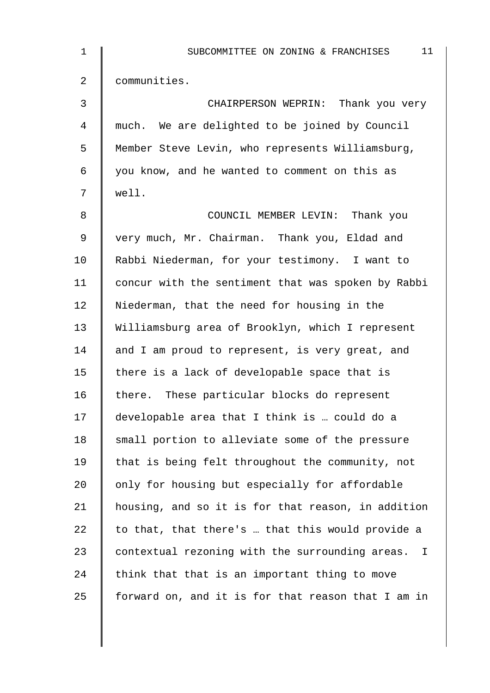| $\mathbf 1$ | 11<br>SUBCOMMITTEE ON ZONING & FRANCHISES                       |
|-------------|-----------------------------------------------------------------|
| 2           | communities.                                                    |
| 3           | CHAIRPERSON WEPRIN: Thank you very                              |
| 4           | much. We are delighted to be joined by Council                  |
| 5           | Member Steve Levin, who represents Williamsburg,                |
| 6           | you know, and he wanted to comment on this as                   |
| 7           | well.                                                           |
| 8           | COUNCIL MEMBER LEVIN: Thank you                                 |
| $\mathsf 9$ | very much, Mr. Chairman. Thank you, Eldad and                   |
| 10          | Rabbi Niederman, for your testimony. I want to                  |
| 11          | concur with the sentiment that was spoken by Rabbi              |
| 12          | Niederman, that the need for housing in the                     |
| 13          | Williamsburg area of Brooklyn, which I represent                |
| 14          | and I am proud to represent, is very great, and                 |
| 15          | there is a lack of developable space that is                    |
| 16          | there. These particular blocks do represent                     |
| 17          | developable area that I think is  could do a                    |
| 18          | small portion to alleviate some of the pressure                 |
| 19          | that is being felt throughout the community, not                |
| 20          | only for housing but especially for affordable                  |
| 21          | housing, and so it is for that reason, in addition              |
| 22          | to that, that there's  that this would provide a                |
| 23          | contextual rezoning with the surrounding areas.<br>$\mathbb{I}$ |
| 24          | think that that is an important thing to move                   |
| 25          | forward on, and it is for that reason that I am in              |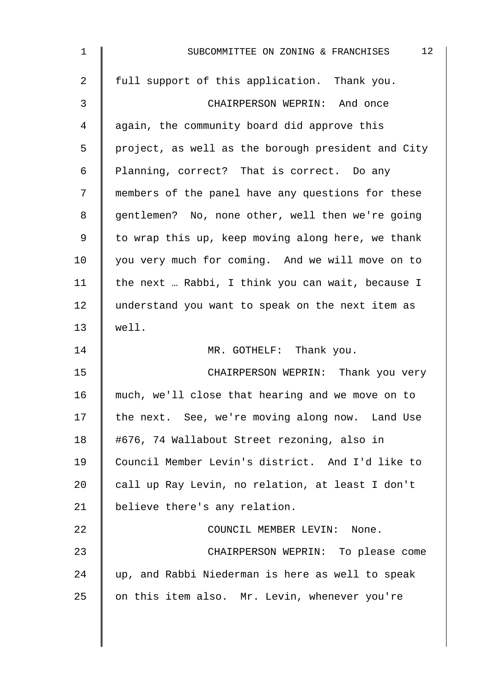| $\mathbf 1$ | 12<br>SUBCOMMITTEE ON ZONING & FRANCHISES          |
|-------------|----------------------------------------------------|
| 2           | full support of this application. Thank you.       |
| 3           | CHAIRPERSON WEPRIN: And once                       |
| 4           | again, the community board did approve this        |
| 5           | project, as well as the borough president and City |
| 6           | Planning, correct? That is correct. Do any         |
| 7           | members of the panel have any questions for these  |
| 8           | gentlemen? No, none other, well then we're going   |
| 9           | to wrap this up, keep moving along here, we thank  |
| 10          | you very much for coming. And we will move on to   |
| 11          | the next  Rabbi, I think you can wait, because I   |
| 12          | understand you want to speak on the next item as   |
| 13          | well.                                              |
| 14          | MR. GOTHELF: Thank you.                            |
| 15          | CHAIRPERSON WEPRIN: Thank you very                 |
| 16          | much, we'll close that hearing and we move on to   |
| 17          | the next. See, we're moving along now. Land Use    |
| 18          | #676, 74 Wallabout Street rezoning, also in        |
| 19          | Council Member Levin's district. And I'd like to   |
| 20          | call up Ray Levin, no relation, at least I don't   |
| 21          | believe there's any relation.                      |
| 22          | COUNCIL MEMBER LEVIN: None.                        |
| 23          | CHAIRPERSON WEPRIN: To please come                 |
| 24          | up, and Rabbi Niederman is here as well to speak   |
| 25          | on this item also. Mr. Levin, whenever you're      |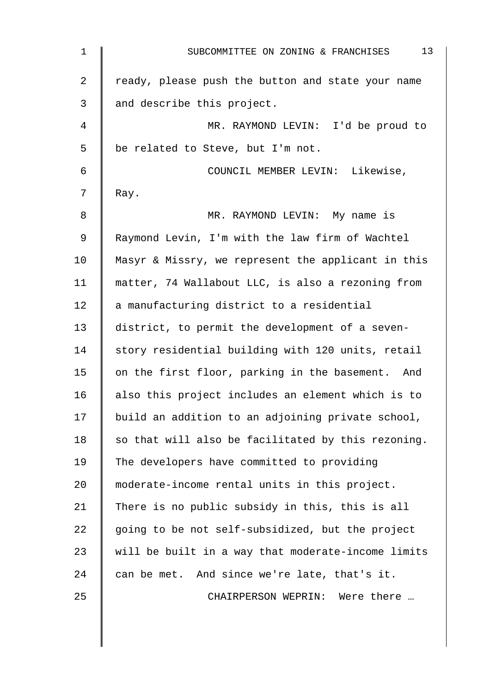| $\mathbf 1$ | 13<br>SUBCOMMITTEE ON ZONING & FRANCHISES          |
|-------------|----------------------------------------------------|
| 2           | ready, please push the button and state your name  |
| 3           | and describe this project.                         |
| 4           | MR. RAYMOND LEVIN: I'd be proud to                 |
| 5           | be related to Steve, but I'm not.                  |
| 6           | COUNCIL MEMBER LEVIN: Likewise,                    |
| 7           | Ray.                                               |
| 8           | MR. RAYMOND LEVIN: My name is                      |
| $\mathsf 9$ | Raymond Levin, I'm with the law firm of Wachtel    |
| 10          | Masyr & Missry, we represent the applicant in this |
| 11          | matter, 74 Wallabout LLC, is also a rezoning from  |
| 12          | a manufacturing district to a residential          |
| 13          | district, to permit the development of a seven-    |
| 14          | story residential building with 120 units, retail  |
| 15          | on the first floor, parking in the basement. And   |
| 16          | also this project includes an element which is to  |
| 17          | build an addition to an adjoining private school,  |
| 18          | so that will also be facilitated by this rezoning. |
| 19          | The developers have committed to providing         |
| 20          | moderate-income rental units in this project.      |
| 21          | There is no public subsidy in this, this is all    |
| 22          | going to be not self-subsidized, but the project   |
| 23          | will be built in a way that moderate-income limits |
| 24          | can be met. And since we're late, that's it.       |
| 25          | CHAIRPERSON WEPRIN: Were there                     |
|             |                                                    |
|             |                                                    |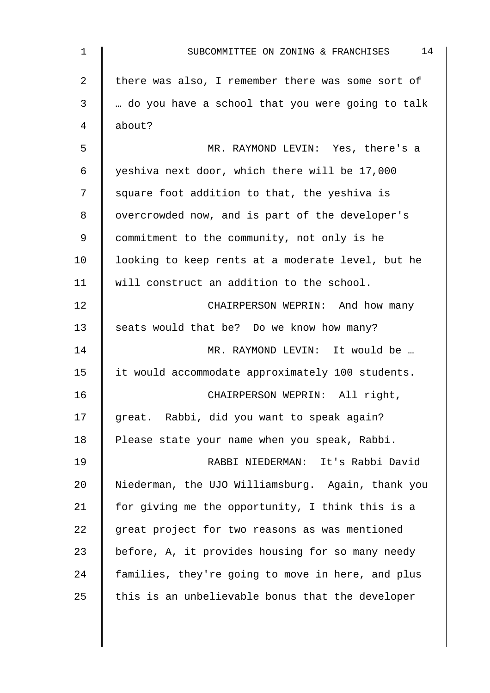| 1  | 14<br>SUBCOMMITTEE ON ZONING & FRANCHISES         |
|----|---------------------------------------------------|
| 2  | there was also, I remember there was some sort of |
| 3  | do you have a school that you were going to talk  |
| 4  | about?                                            |
| 5  | MR. RAYMOND LEVIN: Yes, there's a                 |
| 6  | yeshiva next door, which there will be 17,000     |
| 7  | square foot addition to that, the yeshiva is      |
| 8  | overcrowded now, and is part of the developer's   |
| 9  | commitment to the community, not only is he       |
| 10 | looking to keep rents at a moderate level, but he |
| 11 | will construct an addition to the school.         |
| 12 | CHAIRPERSON WEPRIN: And how many                  |
| 13 | seats would that be? Do we know how many?         |
| 14 | MR. RAYMOND LEVIN: It would be                    |
| 15 | it would accommodate approximately 100 students.  |
| 16 | CHAIRPERSON WEPRIN: All right,                    |
| 17 | great. Rabbi, did you want to speak again?        |
| 18 | Please state your name when you speak, Rabbi.     |
| 19 | RABBI NIEDERMAN: It's Rabbi David                 |
| 20 | Niederman, the UJO Williamsburg. Again, thank you |
| 21 | for giving me the opportunity, I think this is a  |
| 22 | great project for two reasons as was mentioned    |
| 23 | before, A, it provides housing for so many needy  |
| 24 | families, they're going to move in here, and plus |
| 25 | this is an unbelievable bonus that the developer  |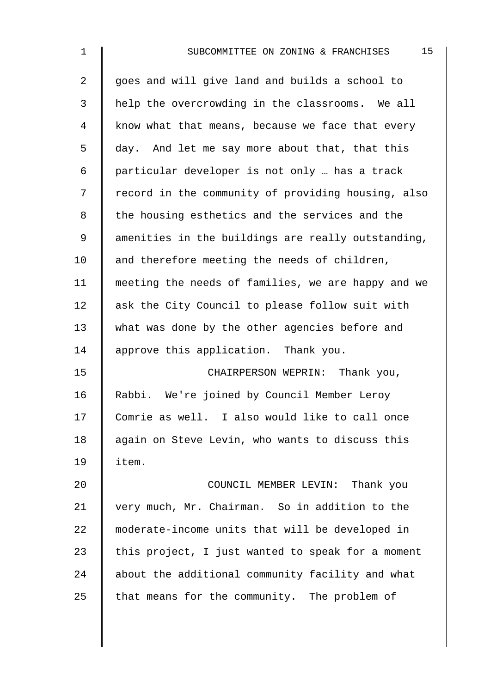| $\mathbf 1$    | 15<br>SUBCOMMITTEE ON ZONING & FRANCHISES          |
|----------------|----------------------------------------------------|
| $\overline{a}$ | goes and will give land and builds a school to     |
| $\mathfrak{Z}$ | help the overcrowding in the classrooms. We all    |
| 4              | know what that means, because we face that every   |
| 5              | day. And let me say more about that, that this     |
| 6              | particular developer is not only  has a track      |
| 7              | record in the community of providing housing, also |
| 8              | the housing esthetics and the services and the     |
| 9              | amenities in the buildings are really outstanding, |
| 10             | and therefore meeting the needs of children,       |
| 11             | meeting the needs of families, we are happy and we |
| 12             | ask the City Council to please follow suit with    |
| 13             | what was done by the other agencies before and     |
| 14             | approve this application. Thank you.               |
| 15             | CHAIRPERSON WEPRIN: Thank you,                     |
| 16             | Rabbi. We're joined by Council Member Leroy        |
| 17             | Comrie as well. I also would like to call once     |
| 18             | again on Steve Levin, who wants to discuss this    |
| 19             | item.                                              |
| 20             | COUNCIL MEMBER LEVIN: Thank you                    |
| 21             | very much, Mr. Chairman. So in addition to the     |
| 22             | moderate-income units that will be developed in    |
| 23             | this project, I just wanted to speak for a moment  |
| 24             | about the additional community facility and what   |
| 25             | that means for the community. The problem of       |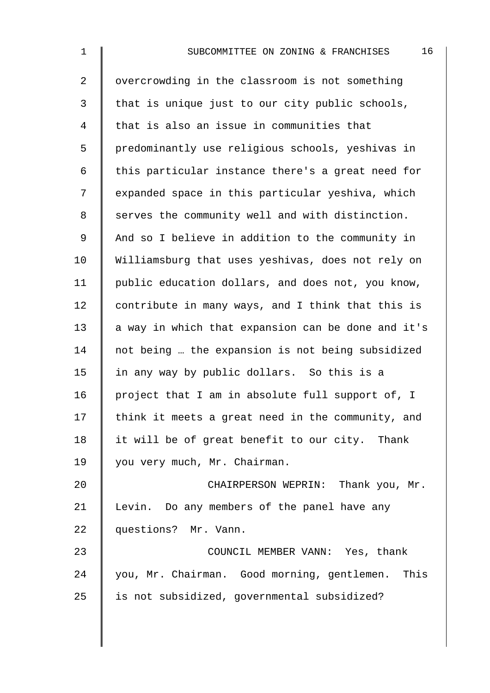| $\mathbf 1$    | 16<br>SUBCOMMITTEE ON ZONING & FRANCHISES          |
|----------------|----------------------------------------------------|
| $\overline{2}$ | overcrowding in the classroom is not something     |
| 3              | that is unique just to our city public schools,    |
| 4              | that is also an issue in communities that          |
| 5              | predominantly use religious schools, yeshivas in   |
| 6              | this particular instance there's a great need for  |
| 7              | expanded space in this particular yeshiva, which   |
| 8              | serves the community well and with distinction.    |
| 9              | And so I believe in addition to the community in   |
| 10             | Williamsburg that uses yeshivas, does not rely on  |
| 11             | public education dollars, and does not, you know,  |
| 12             | contribute in many ways, and I think that this is  |
| 13             | a way in which that expansion can be done and it's |
| 14             | not being  the expansion is not being subsidized   |
| 15             | in any way by public dollars. So this is a         |
| 16             | project that I am in absolute full support of, I   |
| 17             | think it meets a great need in the community, and  |
| 18             | it will be of great benefit to our city. Thank     |
| 19             | you very much, Mr. Chairman.                       |
| 20             | CHAIRPERSON WEPRIN: Thank you, Mr.                 |
| 21             | Levin. Do any members of the panel have any        |
| 22             | questions? Mr. Vann.                               |
| 23             | COUNCIL MEMBER VANN: Yes, thank                    |
| 24             | you, Mr. Chairman. Good morning, gentlemen. This   |
| 25             | is not subsidized, governmental subsidized?        |
|                |                                                    |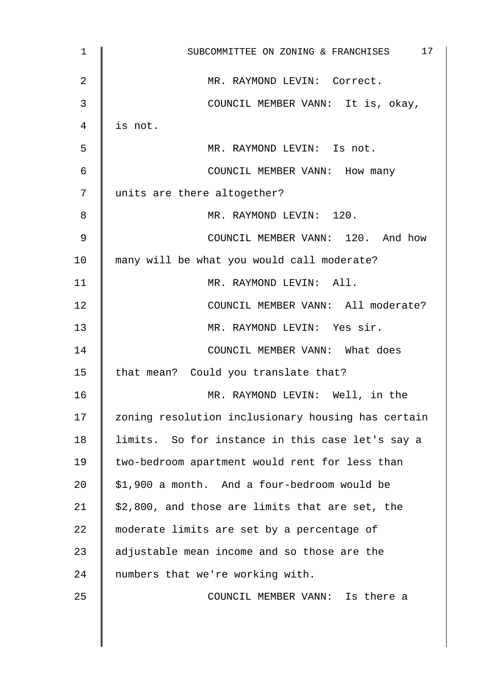| $\mathbf{1}$ | 17<br>SUBCOMMITTEE ON ZONING & FRANCHISES          |  |  |  |  |  |  |  |  |  |  |
|--------------|----------------------------------------------------|--|--|--|--|--|--|--|--|--|--|
| 2            | MR. RAYMOND LEVIN: Correct.                        |  |  |  |  |  |  |  |  |  |  |
| 3            | COUNCIL MEMBER VANN: It is, okay,                  |  |  |  |  |  |  |  |  |  |  |
| 4            | is not.                                            |  |  |  |  |  |  |  |  |  |  |
| 5            | MR. RAYMOND LEVIN: Is not.                         |  |  |  |  |  |  |  |  |  |  |
| 6            | COUNCIL MEMBER VANN: How many                      |  |  |  |  |  |  |  |  |  |  |
| 7            | units are there altogether?                        |  |  |  |  |  |  |  |  |  |  |
| 8            | MR. RAYMOND LEVIN: 120.                            |  |  |  |  |  |  |  |  |  |  |
| 9            | COUNCIL MEMBER VANN: 120. And how                  |  |  |  |  |  |  |  |  |  |  |
| 10           | many will be what you would call moderate?         |  |  |  |  |  |  |  |  |  |  |
| 11           | MR. RAYMOND LEVIN: All.                            |  |  |  |  |  |  |  |  |  |  |
| 12           | COUNCIL MEMBER VANN: All moderate?                 |  |  |  |  |  |  |  |  |  |  |
| 13           | MR. RAYMOND LEVIN: Yes sir.                        |  |  |  |  |  |  |  |  |  |  |
| 14           | COUNCIL MEMBER VANN: What does                     |  |  |  |  |  |  |  |  |  |  |
| 15           | that mean? Could you translate that?               |  |  |  |  |  |  |  |  |  |  |
| 16           | MR. RAYMOND LEVIN: Well, in the                    |  |  |  |  |  |  |  |  |  |  |
| 17           | zoning resolution inclusionary housing has certain |  |  |  |  |  |  |  |  |  |  |
| 18           | limits. So for instance in this case let's say a   |  |  |  |  |  |  |  |  |  |  |
| 19           | two-bedroom apartment would rent for less than     |  |  |  |  |  |  |  |  |  |  |
| 20           | \$1,900 a month. And a four-bedroom would be       |  |  |  |  |  |  |  |  |  |  |
| 21           | \$2,800, and those are limits that are set, the    |  |  |  |  |  |  |  |  |  |  |
| 22           | moderate limits are set by a percentage of         |  |  |  |  |  |  |  |  |  |  |
| 23           | adjustable mean income and so those are the        |  |  |  |  |  |  |  |  |  |  |
| 24           | numbers that we're working with.                   |  |  |  |  |  |  |  |  |  |  |
| 25           | COUNCIL MEMBER VANN: Is there a                    |  |  |  |  |  |  |  |  |  |  |
|              |                                                    |  |  |  |  |  |  |  |  |  |  |
|              |                                                    |  |  |  |  |  |  |  |  |  |  |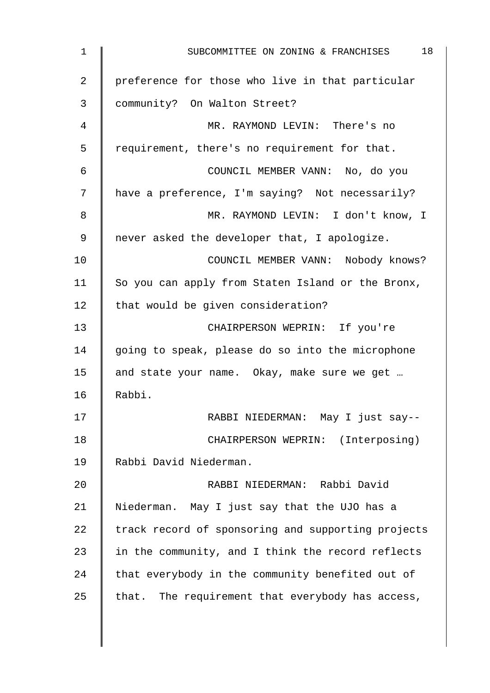| 1              | 18<br>SUBCOMMITTEE ON ZONING & FRANCHISES          |
|----------------|----------------------------------------------------|
| $\overline{2}$ | preference for those who live in that particular   |
| 3              | community? On Walton Street?                       |
| 4              | MR. RAYMOND LEVIN: There's no                      |
| 5              | requirement, there's no requirement for that.      |
| 6              | COUNCIL MEMBER VANN: No, do you                    |
| 7              | have a preference, I'm saying? Not necessarily?    |
| 8              | MR. RAYMOND LEVIN: I don't know, I                 |
| 9              | never asked the developer that, I apologize.       |
| 10             | COUNCIL MEMBER VANN: Nobody knows?                 |
| 11             | So you can apply from Staten Island or the Bronx,  |
| 12             | that would be given consideration?                 |
| 13             | CHAIRPERSON WEPRIN: If you're                      |
| 14             | going to speak, please do so into the microphone   |
| 15             | and state your name. Okay, make sure we get        |
| 16             | Rabbi.                                             |
| 17             | RABBI NIEDERMAN: May I just say--                  |
| 18             | CHAIRPERSON WEPRIN: (Interposing)                  |
| 19             | Rabbi David Niederman.                             |
| 20             | RABBI NIEDERMAN: Rabbi David                       |
| 21             | Niederman. May I just say that the UJO has a       |
| 22             | track record of sponsoring and supporting projects |
| 23             | in the community, and I think the record reflects  |
| 24             | that everybody in the community benefited out of   |
| 25             | that. The requirement that everybody has access,   |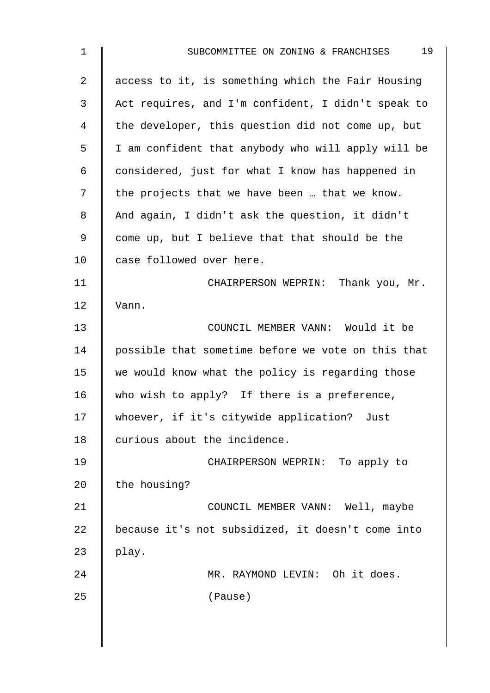| $\mathbf 1$    | 19<br>SUBCOMMITTEE ON ZONING & FRANCHISES          |  |  |  |  |  |  |  |  |  |  |
|----------------|----------------------------------------------------|--|--|--|--|--|--|--|--|--|--|
| $\overline{2}$ | access to it, is something which the Fair Housing  |  |  |  |  |  |  |  |  |  |  |
| 3              | Act requires, and I'm confident, I didn't speak to |  |  |  |  |  |  |  |  |  |  |
| 4              | the developer, this question did not come up, but  |  |  |  |  |  |  |  |  |  |  |
| 5              | I am confident that anybody who will apply will be |  |  |  |  |  |  |  |  |  |  |
| 6              | considered, just for what I know has happened in   |  |  |  |  |  |  |  |  |  |  |
| 7              | the projects that we have been  that we know.      |  |  |  |  |  |  |  |  |  |  |
| 8              | And again, I didn't ask the question, it didn't    |  |  |  |  |  |  |  |  |  |  |
| 9              | come up, but I believe that that should be the     |  |  |  |  |  |  |  |  |  |  |
| 10             | case followed over here.                           |  |  |  |  |  |  |  |  |  |  |
| 11             | CHAIRPERSON WEPRIN: Thank you, Mr.                 |  |  |  |  |  |  |  |  |  |  |
| 12             | Vann.                                              |  |  |  |  |  |  |  |  |  |  |
| 13             | COUNCIL MEMBER VANN: Would it be                   |  |  |  |  |  |  |  |  |  |  |
| 14             | possible that sometime before we vote on this that |  |  |  |  |  |  |  |  |  |  |
| 15             | we would know what the policy is regarding those   |  |  |  |  |  |  |  |  |  |  |
| 16             | who wish to apply? If there is a preference,       |  |  |  |  |  |  |  |  |  |  |
| 17             | whoever, if it's citywide application? Just        |  |  |  |  |  |  |  |  |  |  |
| 18             | curious about the incidence.                       |  |  |  |  |  |  |  |  |  |  |
| 19             | CHAIRPERSON WEPRIN: To apply to                    |  |  |  |  |  |  |  |  |  |  |
| 20             | the housing?                                       |  |  |  |  |  |  |  |  |  |  |
| 21             | COUNCIL MEMBER VANN: Well, maybe                   |  |  |  |  |  |  |  |  |  |  |
| 22             | because it's not subsidized, it doesn't come into  |  |  |  |  |  |  |  |  |  |  |
| 23             | play.                                              |  |  |  |  |  |  |  |  |  |  |
| 24             | MR. RAYMOND LEVIN: Oh it does.                     |  |  |  |  |  |  |  |  |  |  |
| 25             | (Pause)                                            |  |  |  |  |  |  |  |  |  |  |
|                |                                                    |  |  |  |  |  |  |  |  |  |  |
|                |                                                    |  |  |  |  |  |  |  |  |  |  |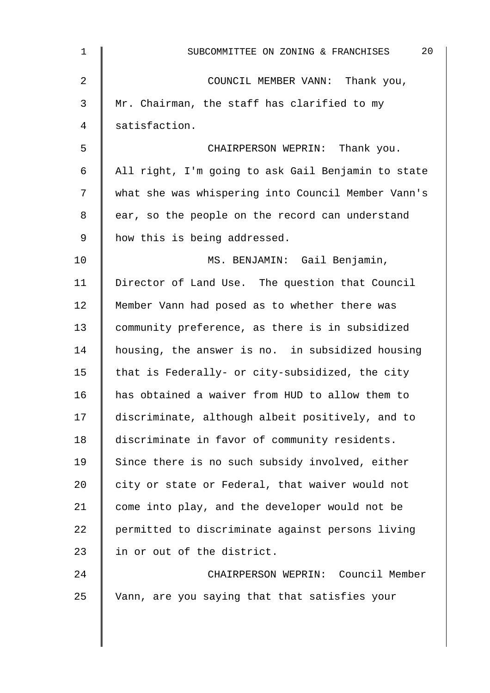| $\mathbf 1$    | 20<br>SUBCOMMITTEE ON ZONING & FRANCHISES          |
|----------------|----------------------------------------------------|
| $\overline{2}$ | COUNCIL MEMBER VANN: Thank you,                    |
| 3              | Mr. Chairman, the staff has clarified to my        |
| 4              | satisfaction.                                      |
| 5              | CHAIRPERSON WEPRIN: Thank you.                     |
| 6              | All right, I'm going to ask Gail Benjamin to state |
| 7              | what she was whispering into Council Member Vann's |
| 8              | ear, so the people on the record can understand    |
| 9              | how this is being addressed.                       |
| 10             | MS. BENJAMIN: Gail Benjamin,                       |
| 11             | Director of Land Use. The question that Council    |
| 12             | Member Vann had posed as to whether there was      |
| 13             | community preference, as there is in subsidized    |
| 14             | housing, the answer is no. in subsidized housing   |
| 15             | that is Federally- or city-subsidized, the city    |
| 16             | has obtained a waiver from HUD to allow them to    |
| 17             | discriminate, although albeit positively, and to   |
| 18             | discriminate in favor of community residents.      |
| 19             | Since there is no such subsidy involved, either    |
| 20             | city or state or Federal, that waiver would not    |
| 21             | come into play, and the developer would not be     |
| 22             | permitted to discriminate against persons living   |
| 23             | in or out of the district.                         |
| 24             | CHAIRPERSON WEPRIN: Council Member                 |
| 25             | Vann, are you saying that that satisfies your      |
|                |                                                    |
|                |                                                    |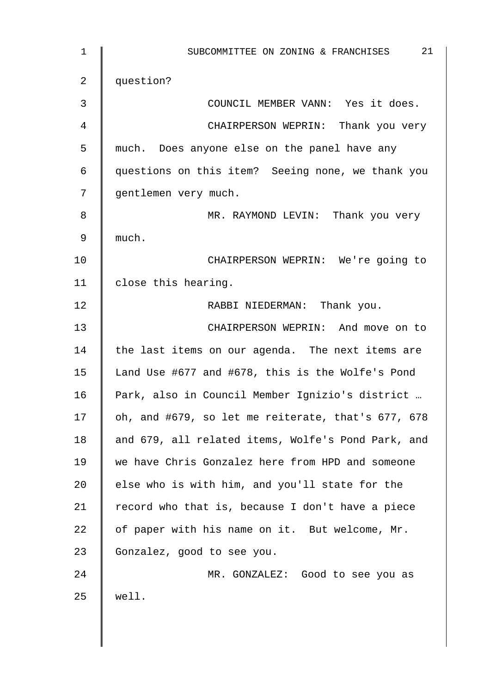| $\mathbf 1$    | 21<br>SUBCOMMITTEE ON ZONING & FRANCHISES          |
|----------------|----------------------------------------------------|
| $\overline{2}$ | question?                                          |
| 3              | COUNCIL MEMBER VANN: Yes it does.                  |
| 4              | CHAIRPERSON WEPRIN: Thank you very                 |
| 5              | much. Does anyone else on the panel have any       |
| 6              | questions on this item? Seeing none, we thank you  |
| 7              | gentlemen very much.                               |
| 8              | MR. RAYMOND LEVIN: Thank you very                  |
| 9              | much.                                              |
| 10             | CHAIRPERSON WEPRIN: We're going to                 |
| 11             | close this hearing.                                |
| 12             | RABBI NIEDERMAN: Thank you.                        |
| 13             | CHAIRPERSON WEPRIN: And move on to                 |
| 14             | the last items on our agenda. The next items are   |
| 15             | Land Use #677 and #678, this is the Wolfe's Pond   |
| 16             | Park, also in Council Member Ignizio's district    |
| 17             | oh, and #679, so let me reiterate, that's 677, 678 |
| 18             | and 679, all related items, Wolfe's Pond Park, and |
| 19             | we have Chris Gonzalez here from HPD and someone   |
| 20             | else who is with him, and you'll state for the     |
| 21             | record who that is, because I don't have a piece   |
| 22             | of paper with his name on it. But welcome, Mr.     |
| 23             | Gonzalez, good to see you.                         |
| 24             | MR. GONZALEZ: Good to see you as                   |
| 25             | well.                                              |
|                |                                                    |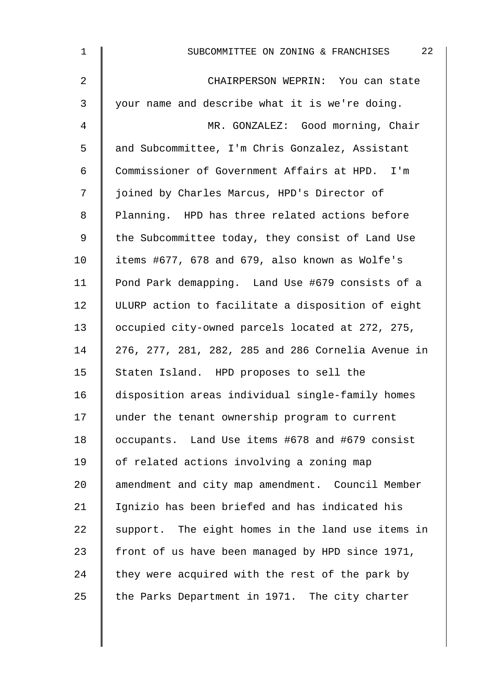| $\mathbf 1$ | 22<br>SUBCOMMITTEE ON ZONING & FRANCHISES          |
|-------------|----------------------------------------------------|
| 2           | CHAIRPERSON WEPRIN: You can state                  |
| 3           | your name and describe what it is we're doing.     |
| 4           | MR. GONZALEZ: Good morning, Chair                  |
| 5           | and Subcommittee, I'm Chris Gonzalez, Assistant    |
| 6           | Commissioner of Government Affairs at HPD. I'm     |
| 7           | joined by Charles Marcus, HPD's Director of        |
| 8           | Planning. HPD has three related actions before     |
| 9           | the Subcommittee today, they consist of Land Use   |
| 10          | items #677, 678 and 679, also known as Wolfe's     |
| 11          | Pond Park demapping. Land Use #679 consists of a   |
| 12          | ULURP action to facilitate a disposition of eight  |
| 13          | occupied city-owned parcels located at 272, 275,   |
| 14          | 276, 277, 281, 282, 285 and 286 Cornelia Avenue in |
| 15          | Staten Island. HPD proposes to sell the            |
| 16          | disposition areas individual single-family homes   |
| 17          | under the tenant ownership program to current      |
| 18          | occupants. Land Use items #678 and #679 consist    |
| 19          | of related actions involving a zoning map          |
| 20          | amendment and city map amendment. Council Member   |
| 21          | Ignizio has been briefed and has indicated his     |
| 22          | support. The eight homes in the land use items in  |
| 23          | front of us have been managed by HPD since 1971,   |
| 24          | they were acquired with the rest of the park by    |
| 25          | the Parks Department in 1971. The city charter     |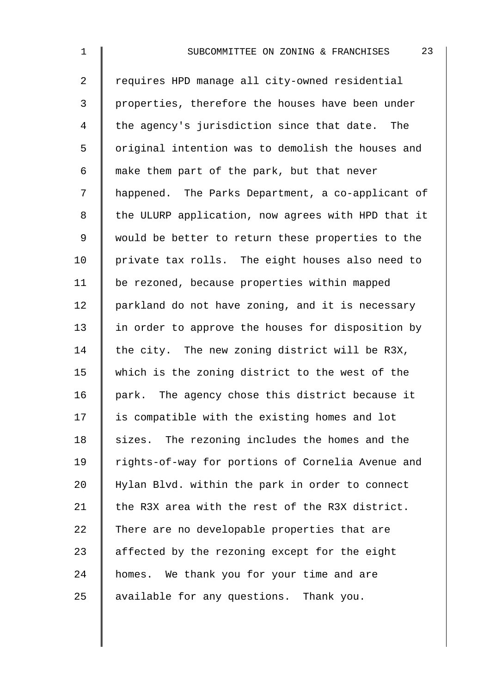2 Tequires HPD manage all city-owned residential 3 | properties, therefore the houses have been under 4 the agency's jurisdiction since that date. The 5 | original intention was to demolish the houses and 6  $\parallel$  make them part of the park, but that never 7 | happened. The Parks Department, a co-applicant of 8 | the ULURP application, now agrees with HPD that it 9 | would be better to return these properties to the 10 | private tax rolls. The eight houses also need to 11 be rezoned, because properties within mapped 12 | parkland do not have zoning, and it is necessary 13 | in order to approve the houses for disposition by 14 the city. The new zoning district will be R3X, 15 which is the zoning district to the west of the  $16$  park. The agency chose this district because it  $17$  is compatible with the existing homes and lot 18 sizes. The rezoning includes the homes and the 19 | rights-of-way for portions of Cornelia Avenue and 20 Hylan Blvd. within the park in order to connect 21 the R3X area with the rest of the R3X district. 22  $\parallel$  There are no developable properties that are 23  $\parallel$  affected by the rezoning except for the eight 24 | homes. We thank you for your time and are  $25$  available for any questions. Thank you.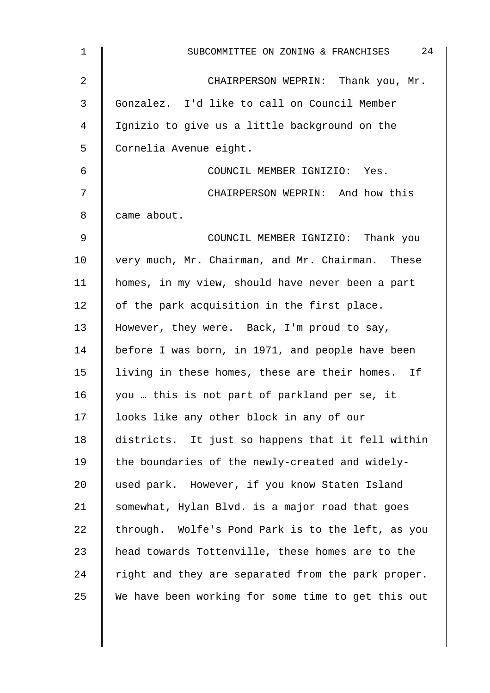| $\mathbf{1}$   | 24<br>SUBCOMMITTEE ON ZONING & FRANCHISES          |
|----------------|----------------------------------------------------|
| $\overline{2}$ | CHAIRPERSON WEPRIN: Thank you, Mr.                 |
| 3              | Gonzalez. I'd like to call on Council Member       |
| 4              | Ignizio to give us a little background on the      |
| 5              | Cornelia Avenue eight.                             |
| 6              | COUNCIL MEMBER IGNIZIO: Yes.                       |
| 7              | CHAIRPERSON WEPRIN: And how this                   |
| 8              | came about.                                        |
| $\mathsf 9$    | COUNCIL MEMBER IGNIZIO: Thank you                  |
| 10             | very much, Mr. Chairman, and Mr. Chairman. These   |
| 11             | homes, in my view, should have never been a part   |
| 12             | of the park acquisition in the first place.        |
| 13             | However, they were. Back, I'm proud to say,        |
| 14             | before I was born, in 1971, and people have been   |
| 15             | living in these homes, these are their homes. If   |
| 16             | you  this is not part of parkland per se, it       |
| 17             | looks like any other block in any of our           |
| 18             | districts. It just so happens that it fell within  |
| 19             | the boundaries of the newly-created and widely-    |
| 20             | used park. However, if you know Staten Island      |
| 21             | somewhat, Hylan Blvd. is a major road that goes    |
| 22             | through. Wolfe's Pond Park is to the left, as you  |
| 23             | head towards Tottenville, these homes are to the   |
| 24             | right and they are separated from the park proper. |
| 25             | We have been working for some time to get this out |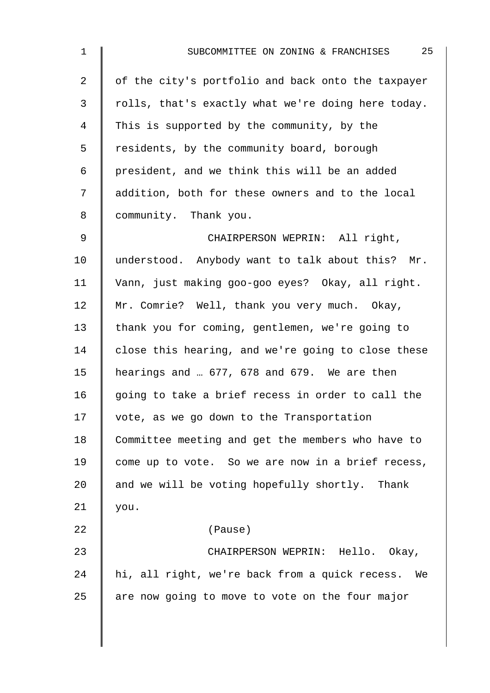| $\mathbf 1$    | 25<br>SUBCOMMITTEE ON ZONING & FRANCHISES          |
|----------------|----------------------------------------------------|
| $\overline{2}$ | of the city's portfolio and back onto the taxpayer |
| 3              | rolls, that's exactly what we're doing here today. |
| 4              | This is supported by the community, by the         |
| 5              | residents, by the community board, borough         |
| 6              | president, and we think this will be an added      |
| 7              | addition, both for these owners and to the local   |
| 8              | community. Thank you.                              |
| 9              | CHAIRPERSON WEPRIN: All right,                     |
| 10             | understood. Anybody want to talk about this? Mr.   |
| 11             | Vann, just making goo-goo eyes? Okay, all right.   |
| 12             | Mr. Comrie? Well, thank you very much. Okay,       |
| 13             | thank you for coming, gentlemen, we're going to    |
| 14             | close this hearing, and we're going to close these |
| 15             | hearings and  677, 678 and 679. We are then        |
| 16             | going to take a brief recess in order to call the  |
| 17             | vote, as we go down to the Transportation          |
| 18             | Committee meeting and get the members who have to  |
| 19             | come up to vote. So we are now in a brief recess,  |
| 20             | and we will be voting hopefully shortly. Thank     |
| 21             | you.                                               |
| 22             | (Pause)                                            |
| 23             | CHAIRPERSON WEPRIN: Hello. Okay,                   |
| 24             | hi, all right, we're back from a quick recess. We  |
| 25             | are now going to move to vote on the four major    |
|                |                                                    |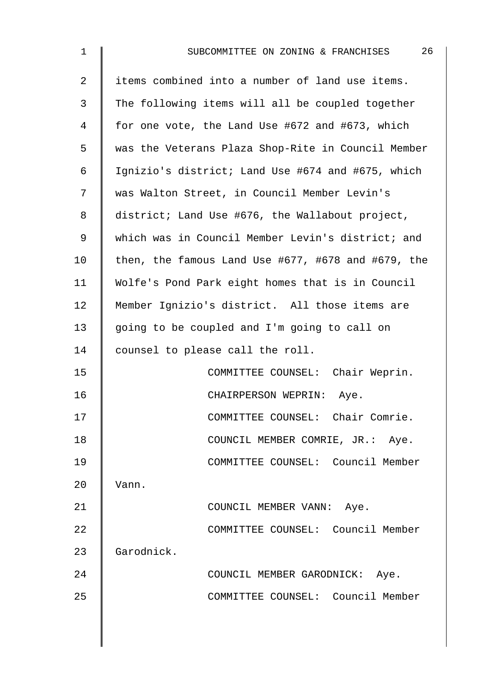| $\mathbf 1$    | 26<br>SUBCOMMITTEE ON ZONING & FRANCHISES                  |  |  |  |  |  |  |  |  |  |  |
|----------------|------------------------------------------------------------|--|--|--|--|--|--|--|--|--|--|
| $\overline{2}$ | items combined into a number of land use items.            |  |  |  |  |  |  |  |  |  |  |
| 3              | The following items will all be coupled together           |  |  |  |  |  |  |  |  |  |  |
| 4              | for one vote, the Land Use #672 and #673, which            |  |  |  |  |  |  |  |  |  |  |
| 5              | was the Veterans Plaza Shop-Rite in Council Member         |  |  |  |  |  |  |  |  |  |  |
| 6              | Ignizio's district; Land Use #674 and #675, which          |  |  |  |  |  |  |  |  |  |  |
| 7              | was Walton Street, in Council Member Levin's               |  |  |  |  |  |  |  |  |  |  |
| 8              | district; Land Use #676, the Wallabout project,            |  |  |  |  |  |  |  |  |  |  |
| 9              | which was in Council Member Levin's district; and          |  |  |  |  |  |  |  |  |  |  |
| 10             | then, the famous Land Use $#677$ , $#678$ and $#679$ , the |  |  |  |  |  |  |  |  |  |  |
| 11             | Wolfe's Pond Park eight homes that is in Council           |  |  |  |  |  |  |  |  |  |  |
| 12             | Member Ignizio's district. All those items are             |  |  |  |  |  |  |  |  |  |  |
| 13             | going to be coupled and I'm going to call on               |  |  |  |  |  |  |  |  |  |  |
| 14             | counsel to please call the roll.                           |  |  |  |  |  |  |  |  |  |  |
| 15             | COMMITTEE COUNSEL: Chair Weprin.                           |  |  |  |  |  |  |  |  |  |  |
| 16             | CHAIRPERSON WEPRIN:<br>Aye.                                |  |  |  |  |  |  |  |  |  |  |
| 17             | COMMITTEE COUNSEL: Chair Comrie.                           |  |  |  |  |  |  |  |  |  |  |
| 18             | COUNCIL MEMBER COMRIE, JR.: Aye.                           |  |  |  |  |  |  |  |  |  |  |
| 19             | COMMITTEE COUNSEL: Council Member                          |  |  |  |  |  |  |  |  |  |  |
| 20             | Vann.                                                      |  |  |  |  |  |  |  |  |  |  |
| 21             | COUNCIL MEMBER VANN: Aye.                                  |  |  |  |  |  |  |  |  |  |  |
| 22             | COMMITTEE COUNSEL: Council Member                          |  |  |  |  |  |  |  |  |  |  |
| 23             | Garodnick.                                                 |  |  |  |  |  |  |  |  |  |  |
| 24             | COUNCIL MEMBER GARODNICK: Aye.                             |  |  |  |  |  |  |  |  |  |  |
| 25             | COMMITTEE COUNSEL: Council Member                          |  |  |  |  |  |  |  |  |  |  |
|                |                                                            |  |  |  |  |  |  |  |  |  |  |
|                |                                                            |  |  |  |  |  |  |  |  |  |  |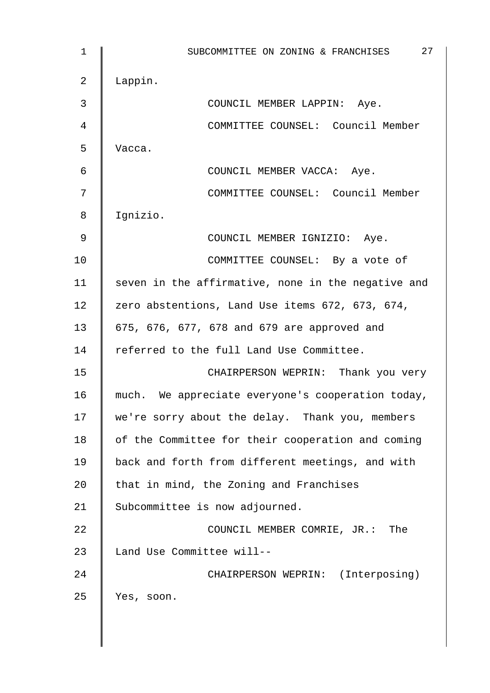1 | SUBCOMMITTEE ON ZONING & FRANCHISES 27 2 Lappin. 3 COUNCIL MEMBER LAPPIN: Aye. 4 COMMITTEE COUNSEL: Council Member 5 Vacca. 6 | COUNCIL MEMBER VACCA: Aye. 7 || COMMITTEE COUNSEL: Council Member 8 Ignizio. 9 COUNCIL MEMBER IGNIZIO: Aye. 10 | COMMITTEE COUNSEL: By a vote of 11  $\parallel$  seven in the affirmative, none in the negative and 12 zero abstentions, Land Use items 672, 673, 674, 13 675, 676, 677, 678 and 679 are approved and 14 Feferred to the full Land Use Committee. 15 | CHAIRPERSON WEPRIN: Thank you very 16 much. We appreciate everyone's cooperation today, 17 we're sorry about the delay. Thank you, members 18 | of the Committee for their cooperation and coming 19 back and forth from different meetings, and with 20  $\parallel$  that in mind, the Zoning and Franchises 21 Subcommittee is now adjourned. 22 **COUNCIL MEMBER COMRIE, JR.: The** 23  $\parallel$  Land Use Committee will--24 | CHAIRPERSON WEPRIN: (Interposing) 25 Yes, soon.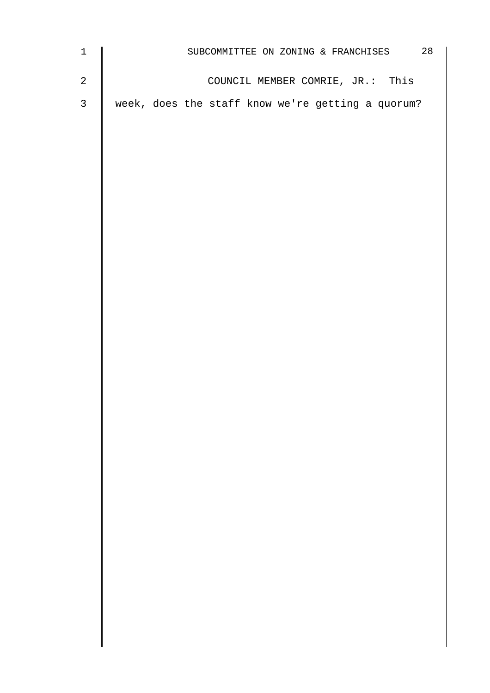| SUBCOMMITTEE ON ZONING & FRANCHISES 28 |  |  |  |  |  |  |  |  |                                                                                       |
|----------------------------------------|--|--|--|--|--|--|--|--|---------------------------------------------------------------------------------------|
|                                        |  |  |  |  |  |  |  |  |                                                                                       |
|                                        |  |  |  |  |  |  |  |  |                                                                                       |
|                                        |  |  |  |  |  |  |  |  |                                                                                       |
|                                        |  |  |  |  |  |  |  |  |                                                                                       |
|                                        |  |  |  |  |  |  |  |  |                                                                                       |
|                                        |  |  |  |  |  |  |  |  |                                                                                       |
|                                        |  |  |  |  |  |  |  |  |                                                                                       |
|                                        |  |  |  |  |  |  |  |  |                                                                                       |
|                                        |  |  |  |  |  |  |  |  |                                                                                       |
|                                        |  |  |  |  |  |  |  |  |                                                                                       |
|                                        |  |  |  |  |  |  |  |  |                                                                                       |
|                                        |  |  |  |  |  |  |  |  |                                                                                       |
|                                        |  |  |  |  |  |  |  |  |                                                                                       |
|                                        |  |  |  |  |  |  |  |  |                                                                                       |
|                                        |  |  |  |  |  |  |  |  |                                                                                       |
|                                        |  |  |  |  |  |  |  |  |                                                                                       |
|                                        |  |  |  |  |  |  |  |  |                                                                                       |
|                                        |  |  |  |  |  |  |  |  |                                                                                       |
|                                        |  |  |  |  |  |  |  |  |                                                                                       |
|                                        |  |  |  |  |  |  |  |  |                                                                                       |
|                                        |  |  |  |  |  |  |  |  |                                                                                       |
|                                        |  |  |  |  |  |  |  |  |                                                                                       |
|                                        |  |  |  |  |  |  |  |  |                                                                                       |
|                                        |  |  |  |  |  |  |  |  | COUNCIL MEMBER COMRIE, JR.: This<br>week, does the staff know we're getting a quorum? |